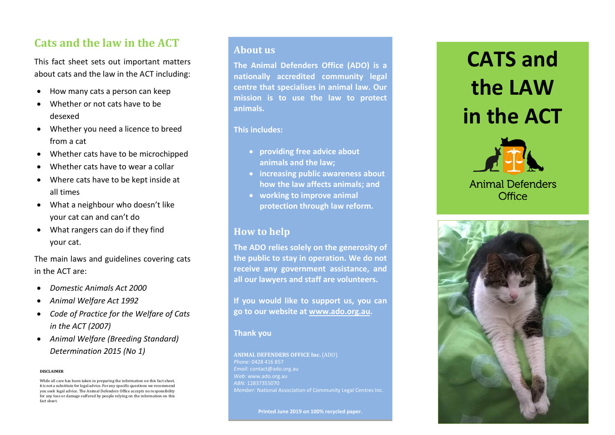## **Cats and the law in the ACT**

This fact sheet sets out important matters about cats and the law in the ACT including:

- How many cats a person can keep
- Whether or not cats have to be desexed
- Whether you need a licence to breed from a cat
- Whether cats have to be microchipped
- Whether cats have to wear a collar
- Where cats have to be kept inside at all times
- What a neighbour who doesn't like your cat can and can't do
- What rangers can do if they find your cat .

The main laws and guidelines covering cats in the ACT are:

- *Domestic Animals Act 2000*
- *Animal Welfare Act 1992*
- *Code of Practice for the Welfare of Cats in the ACT (2007)*
- *Animal Welfare (Breeding Standard) Determination 2015 (No 1)*

#### **DISCLAIMER**

While all care has been taken in preparing the information on this fact sheet, it is not a substitute for legal advice. For any specific questions we recommend you seek legal advice. The Animal Defenders Office accepts no responsibility for any loss or damage suffered by people relying on the information on this fact sheet.

## **About us**

**The Animal Defenders Office (ADO) is a nationally accredited community legal centre that specialises in animal law. Our mission is to use the law to protect animals.** 

#### **This includes:**

- **providing free advice about animals and the law;**
- **increasing public awareness about how the law affects animals; and**
- **working to improve animal protection through law reform.**

## **How to help**

**The ADO relies solely on the generosity of the public to stay in operation. We do not receive any government assistance, and all our lawyers and staff are volunteers.**

**If you would like to support us, you can go to our website at [www.ado.org.au.](http://www.ado.org.au/)** 

### **Thank you**

**ANIMAL DEFENDERS OFFICE Inc.** (ADO) *Phone:* 0428 416 857 *Email:* contact@ado.org.au *Web:* www.ado.org.au *ABN:* 12837355070

**Printed June 201 9 on 100% recycled paper .**

# **CATS and the LAW in the ACT**



## **Animal Defenders** Office